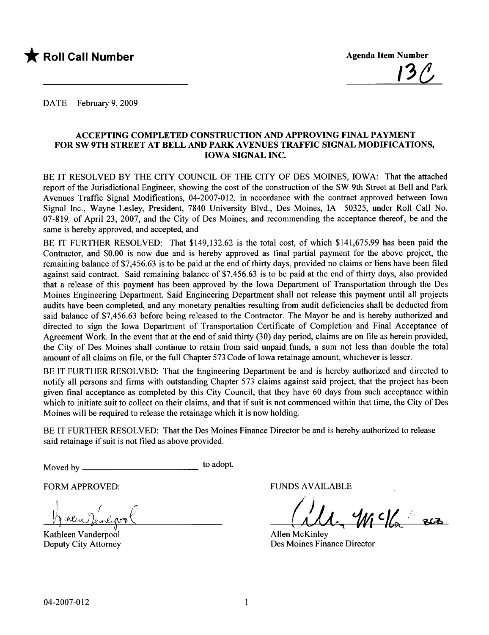

DATE February 9, 2009

#### ACCEPTING COMPLETED CONSTRUCTION AND APPROVING FINAL PAYMENT FOR SW 9TH STREET AT BELL AND PARK AVENUES TRAFFIC SIGNAL MODIFICATIONS, IOWA SIGNAL INC.

BE IT RESOLVED BY THE CITY COUNCIL OF THE CITY OF DES MOINES, IOWA: That the attached report of the Jurisdictional Engineer, showing the cost of the construction of the SW 9th Street at Bell and Park Avenues Traffic Signal Modifications, 04-2007-012, in accordance with the contract approved between Iowa Signal Inc., Wayne Lesley, President, 7840 University Blvd., Des Moines, IA 50325, under Roll Call No. 07-819, of April 23, 2007, and the City of Des Moines, and recommending the acceptance thereof, be and the same is hereby approved, and accepted, and

BE IT FURTHER RESOLVED: That \$149,132.62 is the total cost, of which \$141,675.99 has been paid the Contractor, and \$0.00 is now due and is hereby approved as final partial payment for the above project, the remaining balance of \$7,456.63 is to be paid at the end of thirty days, provided no claims or liens have been filed against said contract. Said remaining balance of \$7,456.63 is to be paid at the end of thirty days, also provided that a release of this payment has been approved by the Iowa Department of Transportation through the Des Moines Engineering Department. Said Engineering Department shall not release this payment until all projects audits have been completed, and any monetary penalties resulting from audit deficiencies shall be deducted from said balance of \$7,456.63 before being released to the Contractor. The Mayor be and is hereby authorized and directed to sign the Iowa Department of Transportation Certificate of Completion and Final Acceptance of Agreement Work. In the event that at the end of said thirty (30) day period, claims are on file as herein provided, the City of Des Moines shall continue to retain from said unpaid funds, a sum not less than double the total amount of all claims on fie, or the full Chapter 573 Code of Iowa retainage amount, whichever is lesser.

BE IT FURTHER RESOLVED: That the Engineering Department be and is hereby authorized and directed to notify all persons and firms with outstanding Chapter 573 claims against said project, that the project has been given final acceptance as completed by this City Council, that they have 60 days from such acceptance within which to initiate suit to collect on their claims, and that if suit is not commenced within that time, the City of Des Moines will be required to release the retainage which it is now holding.

BE IT FURTHER RESOLVED: That the Des Moines Finance Director be and is hereby authorized to release said retainage if suit is not filed as above provided.

Moved by to adopt.

FUNDS AVAILABLE<br>  $\int_{\mathcal{D}} \mathcal{L} \mathcal{L} \mathcal{L}$  $n$ libot

Kathleen Vanderpool Deputy City Attorney

OS AVAILABLE<br>(11, 999 C/c eco

Allen McKinley Des Moines Finance Director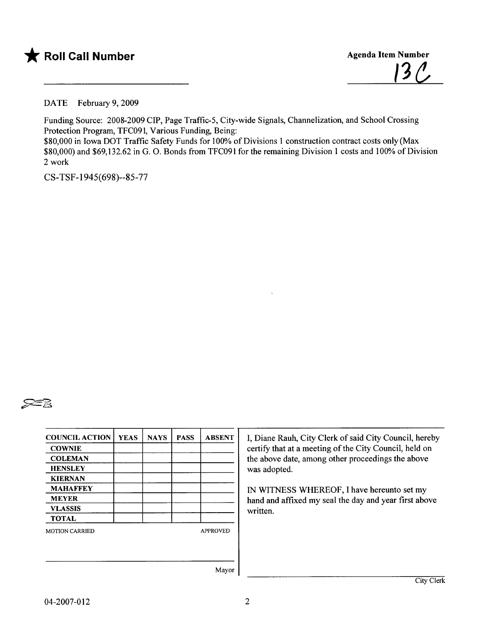



DATE February 9, 2009

Funding Source: 2008-2009 CIP, Page Traffic-5, City-wide Signals, Channelization, and School Crossing Protection Program, TFC091, Various Funding, Being: \$80,000 in Iowa DOT Traffic Safety Funds for 100% of Divisions I construction contract costs only (Max \$80,000) and \$69,132.62 in G. O. Bonds from TFC091 for the remaining Division I costs and 100% of Division 2 work

CS-TSF-1945(698)--85-77



| <b>COUNCIL ACTION</b> | <b>YEAS</b> | <b>NAYS</b> | <b>PASS</b> | <b>ABSENT</b>   |
|-----------------------|-------------|-------------|-------------|-----------------|
| <b>COWNIE</b>         |             |             |             |                 |
| <b>COLEMAN</b>        |             |             |             |                 |
| <b>HENSLEY</b>        |             |             |             |                 |
| <b>KIERNAN</b>        |             |             |             |                 |
| <b>MAHAFFEY</b>       |             |             |             |                 |
| <b>MEYER</b>          |             |             |             |                 |
| <b>VLASSIS</b>        |             |             |             |                 |
| <b>TOTAL</b>          |             |             |             |                 |
| <b>MOTION CARRIED</b> |             |             |             | <b>APPROVED</b> |
|                       |             |             |             |                 |
|                       |             |             |             |                 |
|                       |             |             |             | Mayor           |

I, Diane Rauh, City Clerk of said City Council, hereby certify that at a meeting of the City Council, held on the above date, among other proceedings the above was adopted.

IN WITNESS WHREOF, I have hereunto set my hand and affxed my seal the day and year first above written.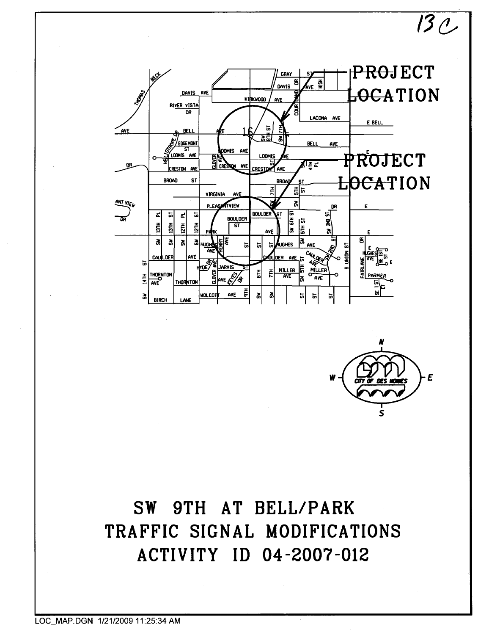



 $130$ 

## SW 9TH AT BELL/PARK TRAFFIC SIGNAL MODIFICATIONS ACTIVITY ID 04-2007-012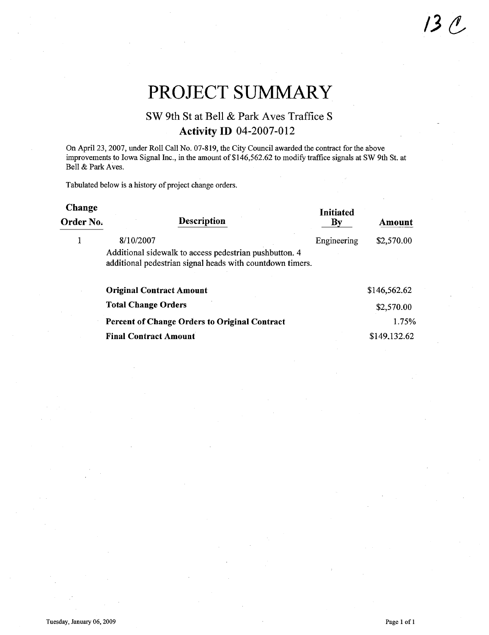## PROJECT SUMMARY

### SW 9th St at Bell & Park Aves Traffice S Activity ID 04-2007-012

On April 23, 2007, under Roll Call No. 07-819, the City Council awarded the contract for the above improvements to Iowa Signal Inc., in the amount of \$146,562.62 to modify traffice signals at SW 9th St. at Bell & Park Aves.

Tabulated below is a history of project change orders.

| Change    |                                                                                                                     | <b>Initiated</b> |              |
|-----------|---------------------------------------------------------------------------------------------------------------------|------------------|--------------|
| Order No. | <b>Description</b>                                                                                                  | Кv               | Amount       |
| 1         | 8/10/2007                                                                                                           | Engineering      | \$2,570.00   |
|           | Additional sidewalk to access pedestrian pushbutton. 4<br>additional pedestrian signal heads with countdown timers. |                  |              |
|           | <b>Original Contract Amount</b>                                                                                     |                  | \$146,562.62 |
|           | <b>Total Change Orders</b>                                                                                          |                  | \$2,570.00   |
|           | <b>Percent of Change Orders to Original Contract</b>                                                                |                  | 1.75%        |
|           | <b>Final Contract Amount</b>                                                                                        |                  | \$149,132.62 |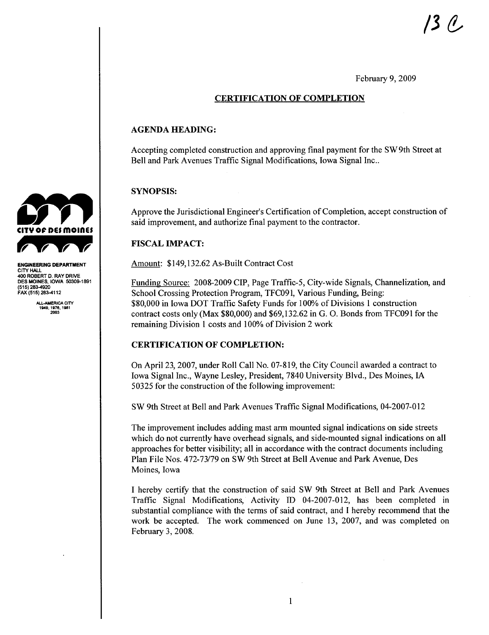February 9, 2009

#### CERTIFICATION OF COMPLETION

#### AGENDA HEADING:

Accepting completed construction and approving final payment for the SW 9th Street at Bell and Park Avenues Traffic Signal Modifications, Iowa Signal Inc..

#### SYNOPSIS:

Approve the Jurisdictional Engineer's Certification of Completion, accept construction of said improvement, and authorize final payment to the contractor.

#### FISCAL IMPACT:

Amount: \$149,132.62 As-Built Contract Cost

Funding Source: 2008-2009 CIP, Page Traffic-5, City-wide Signals, Channelization, and School Crossing Protection Program, TFC091, Various Funding, Being: \$80,000 in Iowa DOT Traffic Safety Funds for 100% of Divisions 1 construction contract costs only (Max \$80,000) and \$69,132.62 in G. O. Bonds from TFC091 for the remaining Division I costs and 100% of Division 2 work

#### CERTIFICATION OF COMPLETION:

On April 23, 2007, under Roll Call No. 07-819, the City Council awarded a contract to Iowa Signal Inc., Wayne Lesley, President, 7840 University Blvd., Des Moines, IA 50325 for the construction of the following improvement:

SW 9th Street at Bell and Park Avenues Traffic Signal Modifications, 04-2007-012

The improvement includes adding mast arm mounted signal indications on side streets which do not currently have overhead signals, and side-mounted signal indications on all approaches for better visibility; all in accordance with the contract documents including Plan File Nos. 472-73/79 on SW 9th Street at Bell Avenue and Park Avenue, Des Moines, Iowa

I hereby certify that the construction of said SW 9th Street at Bell and Park Avenues Traffic Signal Modifications, Activity ID 04-2007-012, has been completed in substantial compliance with the terms of said contract, and I hereby recommend that the work be accepted. The work commenced on June 13, 2007, and was completed on February 3, 2008.



ENGINEERING DEPARTMENT CITY HAL 40 ROBERT D. RAY DRIVE DES MOINES, IOWA 50309-1891 (515) 283-4920 FAX (515) 283-4112

ALL-AMERICA CITY<br>1949, 1976, 1981<br>2003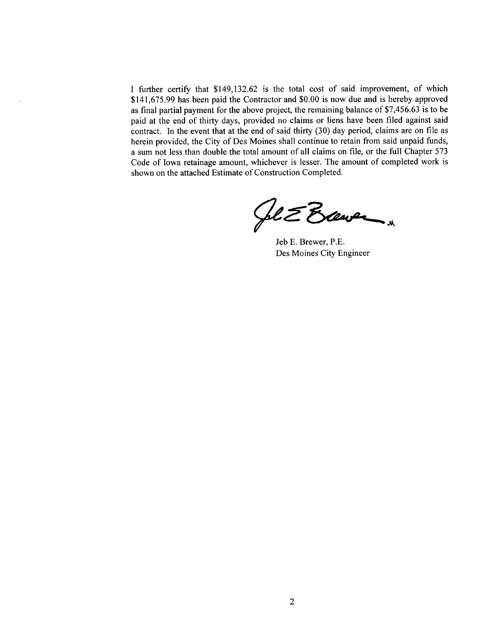I further certify that \$149,132.62 is the total cost of said improvement, of which \$141,675.99 has been paid the Contractor and \$0.00 is now due and is hereby approved as final partial payment for the above project, the remaining balance of \$7,456.63 is to be paid at the end of thirty days, provided no claims or liens have been filed against said contract. In the event that at the end of said thirty  $(30)$  day period, claims are on file as herein provided, the City of Des Moines shall continue to retain from said unpaid funds, a sum not less than double the total amount of all claims on fie, or the full Chapter 573 Code of Iowa retainage amount, whichever is lesser. The amount of completed work is shown on the attached Estimate of Construction Completed.

Selever 1

Des Moines City Engineer